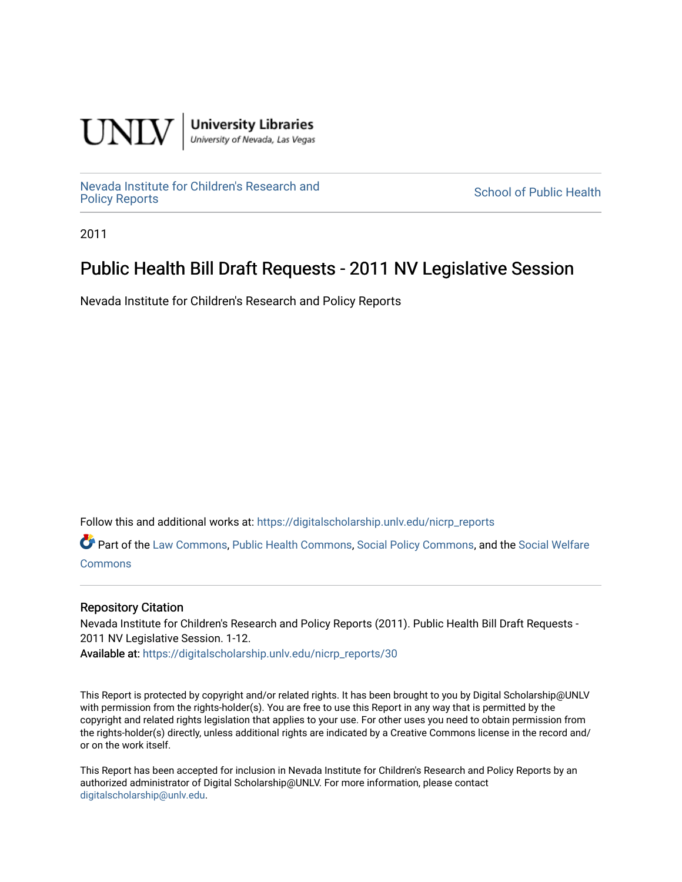

**University Libraries**<br>University of Nevada, Las Vegas

[Nevada Institute for Children's Research and](https://digitalscholarship.unlv.edu/nicrp_reports)

**School of Public Health** 

2011

## Public Health Bill Draft Requests - 2011 NV Legislative Session

Nevada Institute for Children's Research and Policy Reports

Follow this and additional works at: [https://digitalscholarship.unlv.edu/nicrp\\_reports](https://digitalscholarship.unlv.edu/nicrp_reports?utm_source=digitalscholarship.unlv.edu%2Fnicrp_reports%2F30&utm_medium=PDF&utm_campaign=PDFCoverPages)

Part of the [Law Commons](http://network.bepress.com/hgg/discipline/578?utm_source=digitalscholarship.unlv.edu%2Fnicrp_reports%2F30&utm_medium=PDF&utm_campaign=PDFCoverPages), [Public Health Commons](http://network.bepress.com/hgg/discipline/738?utm_source=digitalscholarship.unlv.edu%2Fnicrp_reports%2F30&utm_medium=PDF&utm_campaign=PDFCoverPages), [Social Policy Commons,](http://network.bepress.com/hgg/discipline/1030?utm_source=digitalscholarship.unlv.edu%2Fnicrp_reports%2F30&utm_medium=PDF&utm_campaign=PDFCoverPages) and the [Social Welfare](http://network.bepress.com/hgg/discipline/401?utm_source=digitalscholarship.unlv.edu%2Fnicrp_reports%2F30&utm_medium=PDF&utm_campaign=PDFCoverPages) **[Commons](http://network.bepress.com/hgg/discipline/401?utm_source=digitalscholarship.unlv.edu%2Fnicrp_reports%2F30&utm_medium=PDF&utm_campaign=PDFCoverPages)** 

## Repository Citation

Nevada Institute for Children's Research and Policy Reports (2011). Public Health Bill Draft Requests - 2011 NV Legislative Session. 1-12. Available at: [https://digitalscholarship.unlv.edu/nicrp\\_reports/30](https://digitalscholarship.unlv.edu/nicrp_reports/30) 

This Report is protected by copyright and/or related rights. It has been brought to you by Digital Scholarship@UNLV with permission from the rights-holder(s). You are free to use this Report in any way that is permitted by the copyright and related rights legislation that applies to your use. For other uses you need to obtain permission from the rights-holder(s) directly, unless additional rights are indicated by a Creative Commons license in the record and/ or on the work itself.

This Report has been accepted for inclusion in Nevada Institute for Children's Research and Policy Reports by an authorized administrator of Digital Scholarship@UNLV. For more information, please contact [digitalscholarship@unlv.edu](mailto:digitalscholarship@unlv.edu).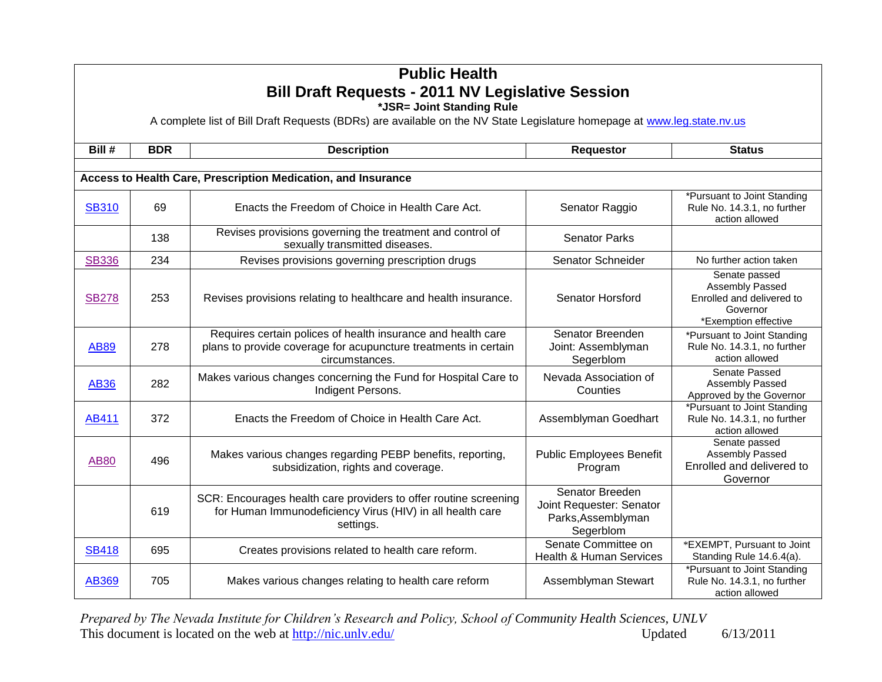|              | <b>Public Health</b><br><b>Bill Draft Requests - 2011 NV Legislative Session</b><br>*JSR= Joint Standing Rule |                                                                                                                                                   |                                                                                |                                                                                                   |  |  |
|--------------|---------------------------------------------------------------------------------------------------------------|---------------------------------------------------------------------------------------------------------------------------------------------------|--------------------------------------------------------------------------------|---------------------------------------------------------------------------------------------------|--|--|
|              |                                                                                                               | A complete list of Bill Draft Requests (BDRs) are available on the NV State Legislature homepage at www.leg.state.nv.us                           |                                                                                |                                                                                                   |  |  |
| Bill#        | <b>BDR</b>                                                                                                    | <b>Description</b>                                                                                                                                | <b>Requestor</b>                                                               | <b>Status</b>                                                                                     |  |  |
|              |                                                                                                               | Access to Health Care, Prescription Medication, and Insurance                                                                                     |                                                                                |                                                                                                   |  |  |
|              |                                                                                                               |                                                                                                                                                   |                                                                                |                                                                                                   |  |  |
| <b>SB310</b> | 69                                                                                                            | Enacts the Freedom of Choice in Health Care Act.                                                                                                  | Senator Raggio                                                                 | *Pursuant to Joint Standing<br>Rule No. 14.3.1, no further<br>action allowed                      |  |  |
|              | 138                                                                                                           | Revises provisions governing the treatment and control of<br>sexually transmitted diseases.                                                       | <b>Senator Parks</b>                                                           |                                                                                                   |  |  |
| <b>SB336</b> | 234                                                                                                           | Revises provisions governing prescription drugs                                                                                                   | Senator Schneider                                                              | No further action taken                                                                           |  |  |
| <b>SB278</b> | 253                                                                                                           | Revises provisions relating to healthcare and health insurance.                                                                                   | Senator Horsford                                                               | Senate passed<br>Assembly Passed<br>Enrolled and delivered to<br>Governor<br>*Exemption effective |  |  |
| <b>AB89</b>  | 278                                                                                                           | Requires certain polices of health insurance and health care<br>plans to provide coverage for acupuncture treatments in certain<br>circumstances. | Senator Breenden<br>Joint: Assemblyman<br>Segerblom                            | *Pursuant to Joint Standing<br>Rule No. 14.3.1, no further<br>action allowed                      |  |  |
| <b>AB36</b>  | 282                                                                                                           | Makes various changes concerning the Fund for Hospital Care to<br>Indigent Persons.                                                               | Nevada Association of<br>Counties                                              | Senate Passed<br>Assembly Passed<br>Approved by the Governor                                      |  |  |
| AB411        | 372                                                                                                           | Enacts the Freedom of Choice in Health Care Act.                                                                                                  | Assemblyman Goedhart                                                           | *Pursuant to Joint Standing<br>Rule No. 14.3.1, no further<br>action allowed                      |  |  |
| <b>AB80</b>  | 496                                                                                                           | Makes various changes regarding PEBP benefits, reporting,<br>subsidization, rights and coverage.                                                  | <b>Public Employees Benefit</b><br>Program                                     | Senate passed<br>Assembly Passed<br>Enrolled and delivered to<br>Governor                         |  |  |
|              | 619                                                                                                           | SCR: Encourages health care providers to offer routine screening<br>for Human Immunodeficiency Virus (HIV) in all health care<br>settings.        | Senator Breeden<br>Joint Requester: Senator<br>Parks, Assemblyman<br>Segerblom |                                                                                                   |  |  |
| <b>SB418</b> | 695                                                                                                           | Creates provisions related to health care reform.                                                                                                 | Senate Committee on<br><b>Health &amp; Human Services</b>                      | *EXEMPT, Pursuant to Joint<br>Standing Rule 14.6.4(a).                                            |  |  |
| AB369        | 705                                                                                                           | Makes various changes relating to health care reform                                                                                              | Assemblyman Stewart                                                            | *Pursuant to Joint Standing<br>Rule No. 14.3.1, no further<br>action allowed                      |  |  |

*Prepared by The Nevada Institute for Children's Research and Policy, School of Community Health Sciences, UNLV* This document is located on the web at  $\frac{http://nic.unlv.edu/}{http://nic.unlv.edu/}$  Updated 6/13/2011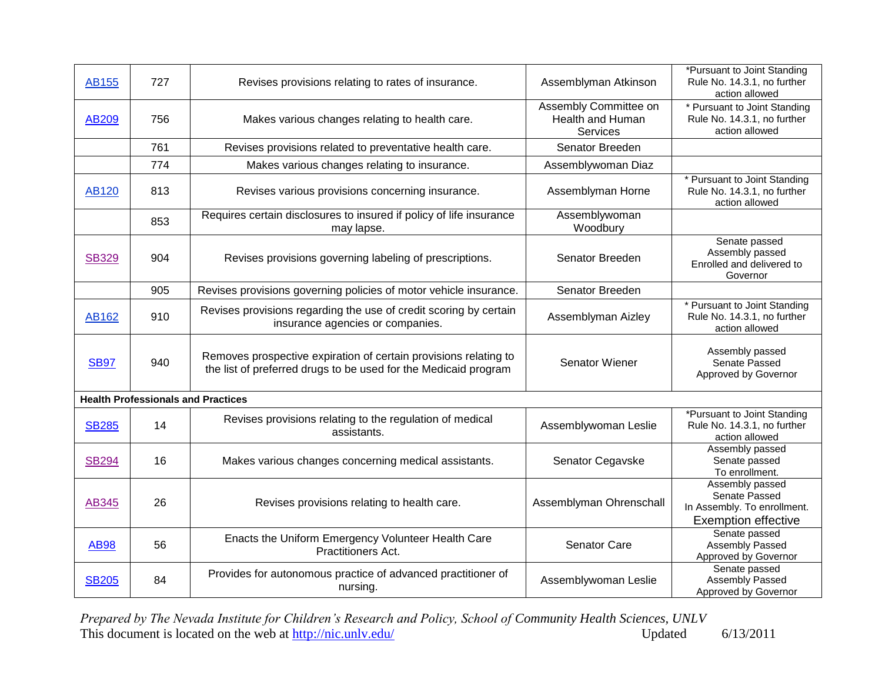| AB155        | 727                                       | Revises provisions relating to rates of insurance.                                                                                  | Assemblyman Atkinson                                  | *Pursuant to Joint Standing<br>Rule No. 14.3.1, no further<br>action allowed                  |
|--------------|-------------------------------------------|-------------------------------------------------------------------------------------------------------------------------------------|-------------------------------------------------------|-----------------------------------------------------------------------------------------------|
| AB209        | 756                                       | Makes various changes relating to health care.                                                                                      | Assembly Committee on<br>Health and Human<br>Services | * Pursuant to Joint Standing<br>Rule No. 14.3.1, no further<br>action allowed                 |
|              | 761                                       | Revises provisions related to preventative health care.                                                                             | Senator Breeden                                       |                                                                                               |
|              | 774                                       | Makes various changes relating to insurance.                                                                                        | Assemblywoman Diaz                                    |                                                                                               |
| <b>AB120</b> | 813                                       | Revises various provisions concerning insurance.                                                                                    | Assemblyman Horne                                     | * Pursuant to Joint Standing<br>Rule No. 14.3.1, no further<br>action allowed                 |
|              | 853                                       | Requires certain disclosures to insured if policy of life insurance<br>may lapse.                                                   | Assemblywoman<br>Woodbury                             |                                                                                               |
| <b>SB329</b> | 904                                       | Revises provisions governing labeling of prescriptions.                                                                             | Senator Breeden                                       | Senate passed<br>Assembly passed<br>Enrolled and delivered to<br>Governor                     |
|              | 905                                       | Revises provisions governing policies of motor vehicle insurance.                                                                   | Senator Breeden                                       |                                                                                               |
| AB162        | 910                                       | Revises provisions regarding the use of credit scoring by certain<br>insurance agencies or companies.                               | Assemblyman Aizley                                    | * Pursuant to Joint Standing<br>Rule No. 14.3.1, no further<br>action allowed                 |
| <b>SB97</b>  | 940                                       | Removes prospective expiration of certain provisions relating to<br>the list of preferred drugs to be used for the Medicaid program | <b>Senator Wiener</b>                                 | Assembly passed<br>Senate Passed<br>Approved by Governor                                      |
|              | <b>Health Professionals and Practices</b> |                                                                                                                                     |                                                       |                                                                                               |
| <b>SB285</b> | 14                                        | Revises provisions relating to the regulation of medical<br>assistants.                                                             | Assemblywoman Leslie                                  | *Pursuant to Joint Standing<br>Rule No. 14.3.1, no further<br>action allowed                  |
| <b>SB294</b> | 16                                        | Makes various changes concerning medical assistants.                                                                                | Senator Cegavske                                      | Assembly passed<br>Senate passed<br>To enrollment.                                            |
| AB345        | 26                                        | Revises provisions relating to health care.                                                                                         | Assemblyman Ohrenschall                               | Assembly passed<br>Senate Passed<br>In Assembly. To enrollment.<br><b>Exemption effective</b> |
| <b>AB98</b>  | 56                                        | Enacts the Uniform Emergency Volunteer Health Care<br>Practitioners Act.                                                            | Senator Care                                          | Senate passed<br>Assembly Passed<br>Approved by Governor                                      |
| <b>SB205</b> | 84                                        | Provides for autonomous practice of advanced practitioner of<br>nursing.                                                            | Assemblywoman Leslie                                  | Senate passed<br>Assembly Passed<br>Approved by Governor                                      |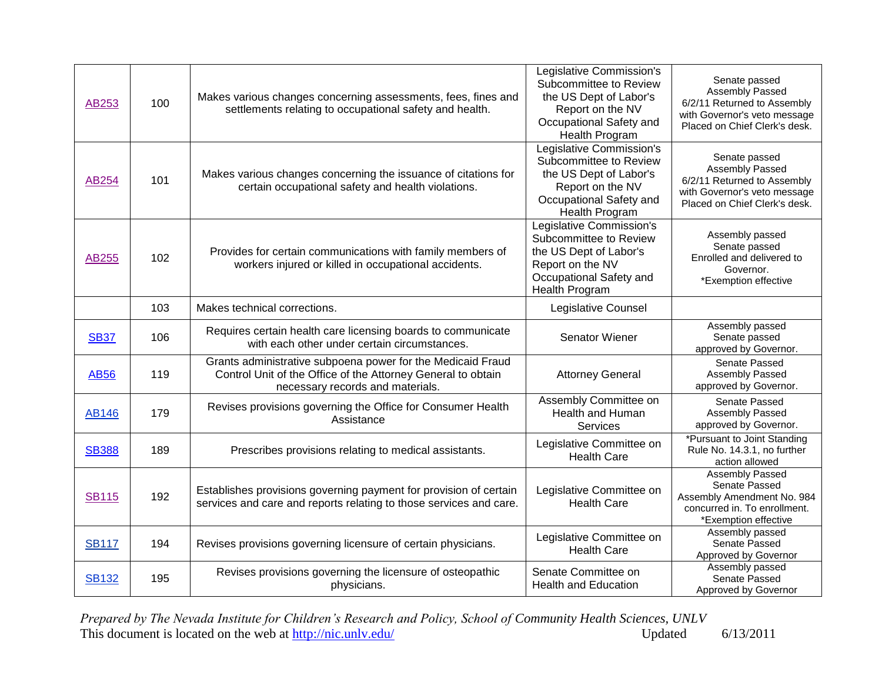| AB253        | 100 | Makes various changes concerning assessments, fees, fines and<br>settlements relating to occupational safety and health.                                        | Legislative Commission's<br>Subcommittee to Review<br>the US Dept of Labor's<br>Report on the NV<br>Occupational Safety and<br>Health Program | Senate passed<br>Assembly Passed<br>6/2/11 Returned to Assembly<br>with Governor's veto message<br>Placed on Chief Clerk's desk. |
|--------------|-----|-----------------------------------------------------------------------------------------------------------------------------------------------------------------|-----------------------------------------------------------------------------------------------------------------------------------------------|----------------------------------------------------------------------------------------------------------------------------------|
| AB254        | 101 | Makes various changes concerning the issuance of citations for<br>certain occupational safety and health violations.                                            | Legislative Commission's<br>Subcommittee to Review<br>the US Dept of Labor's<br>Report on the NV<br>Occupational Safety and<br>Health Program | Senate passed<br>Assembly Passed<br>6/2/11 Returned to Assembly<br>with Governor's veto message<br>Placed on Chief Clerk's desk. |
| <b>AB255</b> | 102 | Provides for certain communications with family members of<br>workers injured or killed in occupational accidents.                                              | Legislative Commission's<br>Subcommittee to Review<br>the US Dept of Labor's<br>Report on the NV<br>Occupational Safety and<br>Health Program | Assembly passed<br>Senate passed<br>Enrolled and delivered to<br>Governor.<br>*Exemption effective                               |
|              | 103 | Makes technical corrections.                                                                                                                                    | Legislative Counsel                                                                                                                           |                                                                                                                                  |
| <b>SB37</b>  | 106 | Requires certain health care licensing boards to communicate<br>with each other under certain circumstances.                                                    | <b>Senator Wiener</b>                                                                                                                         | Assembly passed<br>Senate passed<br>approved by Governor.                                                                        |
| <b>AB56</b>  | 119 | Grants administrative subpoena power for the Medicaid Fraud<br>Control Unit of the Office of the Attorney General to obtain<br>necessary records and materials. | <b>Attorney General</b>                                                                                                                       | Senate Passed<br>Assembly Passed<br>approved by Governor.                                                                        |
| <b>AB146</b> | 179 | Revises provisions governing the Office for Consumer Health<br>Assistance                                                                                       | Assembly Committee on<br>Health and Human<br>Services                                                                                         | Senate Passed<br>Assembly Passed<br>approved by Governor.                                                                        |
| <b>SB388</b> | 189 | Prescribes provisions relating to medical assistants.                                                                                                           | Legislative Committee on<br><b>Health Care</b>                                                                                                | *Pursuant to Joint Standing<br>Rule No. 14.3.1, no further<br>action allowed                                                     |
| <b>SB115</b> | 192 | Establishes provisions governing payment for provision of certain<br>services and care and reports relating to those services and care.                         | Legislative Committee on<br><b>Health Care</b>                                                                                                | Assembly Passed<br>Senate Passed<br>Assembly Amendment No. 984<br>concurred in. To enrollment.<br>*Exemption effective           |
| <b>SB117</b> | 194 | Revises provisions governing licensure of certain physicians.                                                                                                   | Legislative Committee on<br><b>Health Care</b>                                                                                                | Assembly passed<br>Senate Passed<br>Approved by Governor                                                                         |
| <b>SB132</b> | 195 | Revises provisions governing the licensure of osteopathic<br>physicians.                                                                                        | Senate Committee on<br><b>Health and Education</b>                                                                                            | Assembly passed<br>Senate Passed<br>Approved by Governor                                                                         |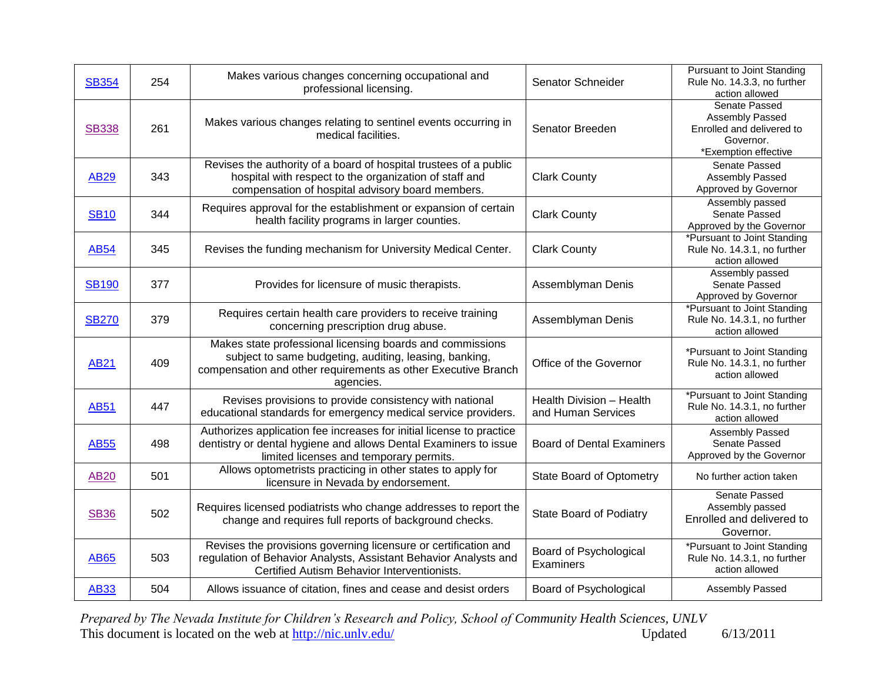| <b>SB354</b> | 254 | Makes various changes concerning occupational and<br>professional licensing.                                                                                                                      | Senator Schneider                              | Pursuant to Joint Standing<br>Rule No. 14.3.3, no further<br>action allowed                        |
|--------------|-----|---------------------------------------------------------------------------------------------------------------------------------------------------------------------------------------------------|------------------------------------------------|----------------------------------------------------------------------------------------------------|
| <b>SB338</b> | 261 | Makes various changes relating to sentinel events occurring in<br>medical facilities.                                                                                                             | Senator Breeden                                | Senate Passed<br>Assembly Passed<br>Enrolled and delivered to<br>Governor.<br>*Exemption effective |
| <b>AB29</b>  | 343 | Revises the authority of a board of hospital trustees of a public<br>hospital with respect to the organization of staff and<br>compensation of hospital advisory board members.                   | <b>Clark County</b>                            | Senate Passed<br>Assembly Passed<br>Approved by Governor                                           |
| <b>SB10</b>  | 344 | Requires approval for the establishment or expansion of certain<br>health facility programs in larger counties.                                                                                   | <b>Clark County</b>                            | Assembly passed<br>Senate Passed<br>Approved by the Governor                                       |
| <b>AB54</b>  | 345 | Revises the funding mechanism for University Medical Center.                                                                                                                                      | <b>Clark County</b>                            | *Pursuant to Joint Standing<br>Rule No. 14.3.1, no further<br>action allowed                       |
| <b>SB190</b> | 377 | Provides for licensure of music therapists.                                                                                                                                                       | Assemblyman Denis                              | Assembly passed<br>Senate Passed<br>Approved by Governor                                           |
| <b>SB270</b> | 379 | Requires certain health care providers to receive training<br>concerning prescription drug abuse.                                                                                                 | Assemblyman Denis                              | *Pursuant to Joint Standing<br>Rule No. 14.3.1, no further<br>action allowed                       |
| <b>AB21</b>  | 409 | Makes state professional licensing boards and commissions<br>subject to same budgeting, auditing, leasing, banking,<br>compensation and other requirements as other Executive Branch<br>agencies. | Office of the Governor                         | *Pursuant to Joint Standing<br>Rule No. 14.3.1, no further<br>action allowed                       |
| <b>AB51</b>  | 447 | Revises provisions to provide consistency with national<br>educational standards for emergency medical service providers.                                                                         | Health Division - Health<br>and Human Services | *Pursuant to Joint Standing<br>Rule No. 14.3.1, no further<br>action allowed                       |
| <b>AB55</b>  | 498 | Authorizes application fee increases for initial license to practice<br>dentistry or dental hygiene and allows Dental Examiners to issue<br>limited licenses and temporary permits.               | <b>Board of Dental Examiners</b>               | Assembly Passed<br>Senate Passed<br>Approved by the Governor                                       |
| <b>AB20</b>  | 501 | Allows optometrists practicing in other states to apply for<br>licensure in Nevada by endorsement.                                                                                                | <b>State Board of Optometry</b>                | No further action taken                                                                            |
| <b>SB36</b>  | 502 | Requires licensed podiatrists who change addresses to report the<br>change and requires full reports of background checks.                                                                        | <b>State Board of Podiatry</b>                 | Senate Passed<br>Assembly passed<br>Enrolled and delivered to<br>Governor.                         |
| <b>AB65</b>  | 503 | Revises the provisions governing licensure or certification and<br>regulation of Behavior Analysts, Assistant Behavior Analysts and<br>Certified Autism Behavior Interventionists.                | Board of Psychological<br>Examiners            | *Pursuant to Joint Standing<br>Rule No. 14.3.1, no further<br>action allowed                       |
| <b>AB33</b>  | 504 | Allows issuance of citation, fines and cease and desist orders                                                                                                                                    | Board of Psychological                         | Assembly Passed                                                                                    |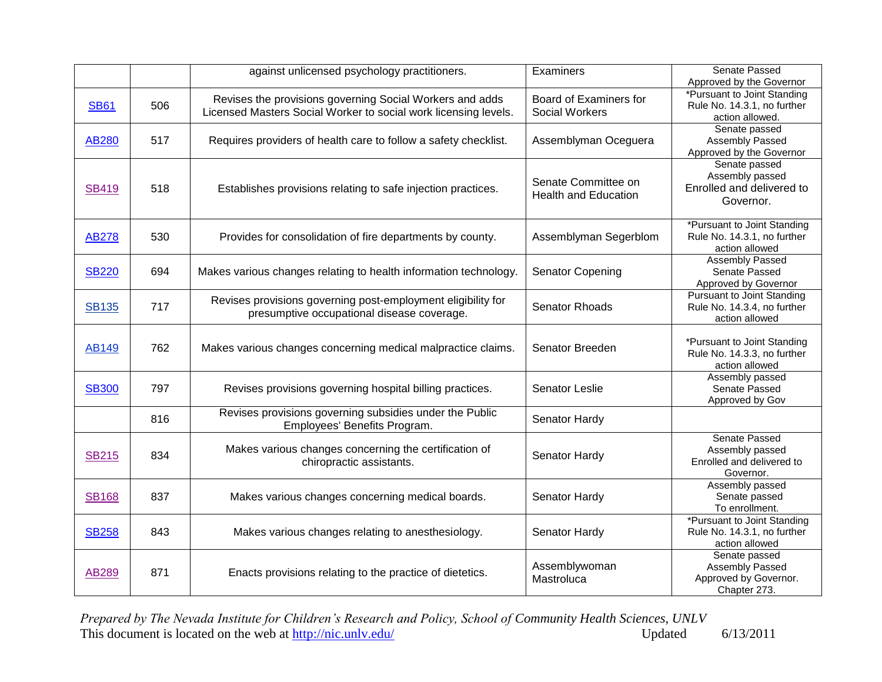|              |     | against unlicensed psychology practitioners.                                                                                | Examiners                                          | Senate Passed                                                                                             |
|--------------|-----|-----------------------------------------------------------------------------------------------------------------------------|----------------------------------------------------|-----------------------------------------------------------------------------------------------------------|
| <b>SB61</b>  | 506 | Revises the provisions governing Social Workers and adds<br>Licensed Masters Social Worker to social work licensing levels. | Board of Examiners for<br><b>Social Workers</b>    | Approved by the Governor<br>*Pursuant to Joint Standing<br>Rule No. 14.3.1, no further<br>action allowed. |
| AB280        | 517 | Requires providers of health care to follow a safety checklist.                                                             | Assemblyman Oceguera                               | Senate passed<br>Assembly Passed<br>Approved by the Governor                                              |
| <b>SB419</b> | 518 | Establishes provisions relating to safe injection practices.                                                                | Senate Committee on<br><b>Health and Education</b> | Senate passed<br>Assembly passed<br>Enrolled and delivered to<br>Governor.                                |
| <b>AB278</b> | 530 | Provides for consolidation of fire departments by county.                                                                   | Assemblyman Segerblom                              | *Pursuant to Joint Standing<br>Rule No. 14.3.1, no further<br>action allowed                              |
| <b>SB220</b> | 694 | Makes various changes relating to health information technology.                                                            | Senator Copening                                   | <b>Assembly Passed</b><br>Senate Passed<br>Approved by Governor                                           |
| <b>SB135</b> | 717 | Revises provisions governing post-employment eligibility for<br>presumptive occupational disease coverage.                  | Senator Rhoads                                     | <b>Pursuant to Joint Standing</b><br>Rule No. 14.3.4, no further<br>action allowed                        |
| AB149        | 762 | Makes various changes concerning medical malpractice claims.                                                                | Senator Breeden                                    | *Pursuant to Joint Standing<br>Rule No. 14.3.3, no further<br>action allowed                              |
| <b>SB300</b> | 797 | Revises provisions governing hospital billing practices.                                                                    | Senator Leslie                                     | Assembly passed<br>Senate Passed<br>Approved by Gov                                                       |
|              | 816 | Revises provisions governing subsidies under the Public<br>Employees' Benefits Program.                                     | Senator Hardy                                      |                                                                                                           |
| <b>SB215</b> | 834 | Makes various changes concerning the certification of<br>chiropractic assistants.                                           | Senator Hardy                                      | Senate Passed<br>Assembly passed<br>Enrolled and delivered to<br>Governor.                                |
| <b>SB168</b> | 837 | Makes various changes concerning medical boards.                                                                            | Senator Hardy                                      | Assembly passed<br>Senate passed<br>To enrollment.                                                        |
| <b>SB258</b> | 843 | Makes various changes relating to anesthesiology.                                                                           | Senator Hardy                                      | *Pursuant to Joint Standing<br>Rule No. 14.3.1, no further<br>action allowed                              |
| AB289        | 871 | Enacts provisions relating to the practice of dietetics.                                                                    | Assemblywoman<br>Mastroluca                        | Senate passed<br>Assembly Passed<br>Approved by Governor.<br>Chapter 273.                                 |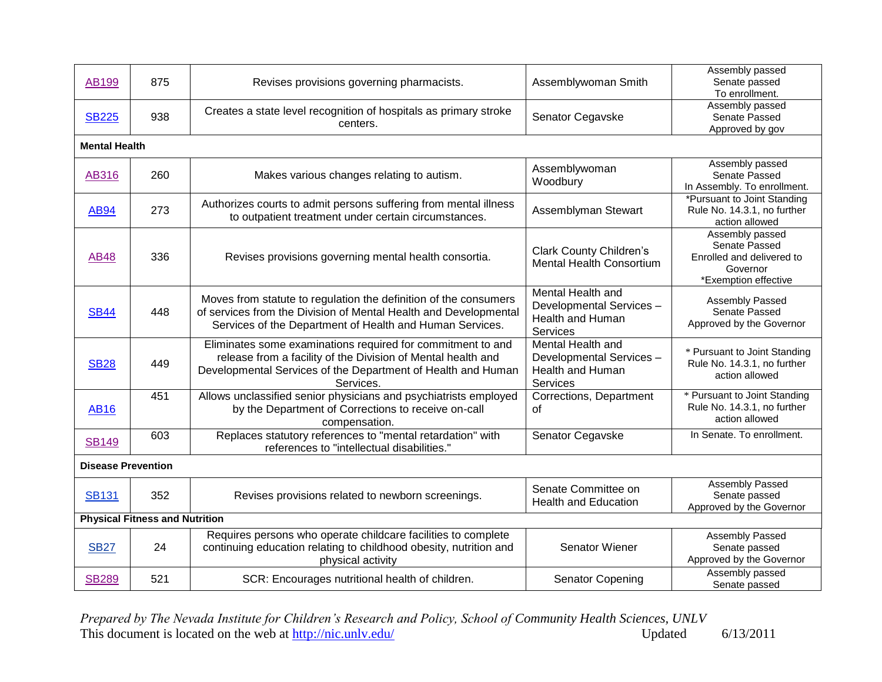| AB199                     | 875                                   | Revises provisions governing pharmacists.                                                                                                                                                                | Assemblywoman Smith                                                                  | Assembly passed<br>Senate passed<br>To enrollment.                                                |  |  |  |
|---------------------------|---------------------------------------|----------------------------------------------------------------------------------------------------------------------------------------------------------------------------------------------------------|--------------------------------------------------------------------------------------|---------------------------------------------------------------------------------------------------|--|--|--|
| <b>SB225</b>              | 938                                   | Creates a state level recognition of hospitals as primary stroke<br>centers.                                                                                                                             | Senator Cegavske                                                                     | Assembly passed<br>Senate Passed<br>Approved by gov                                               |  |  |  |
|                           | <b>Mental Health</b>                  |                                                                                                                                                                                                          |                                                                                      |                                                                                                   |  |  |  |
| AB316                     | 260                                   | Makes various changes relating to autism.                                                                                                                                                                | Assemblywoman<br>Woodbury                                                            | Assembly passed<br>Senate Passed<br>In Assembly. To enrollment.                                   |  |  |  |
| <b>AB94</b>               | 273                                   | Authorizes courts to admit persons suffering from mental illness<br>to outpatient treatment under certain circumstances.                                                                                 | Assemblyman Stewart                                                                  | *Pursuant to Joint Standing<br>Rule No. 14.3.1, no further<br>action allowed                      |  |  |  |
| <b>AB48</b>               | 336                                   | Revises provisions governing mental health consortia.                                                                                                                                                    | <b>Clark County Children's</b><br><b>Mental Health Consortium</b>                    | Assembly passed<br>Senate Passed<br>Enrolled and delivered to<br>Governor<br>*Exemption effective |  |  |  |
| <b>SB44</b>               | 448                                   | Moves from statute to regulation the definition of the consumers<br>of services from the Division of Mental Health and Developmental<br>Services of the Department of Health and Human Services.         | Mental Health and<br>Developmental Services -<br><b>Health and Human</b><br>Services | Assembly Passed<br>Senate Passed<br>Approved by the Governor                                      |  |  |  |
| <b>SB28</b>               | 449                                   | Eliminates some examinations required for commitment to and<br>release from a facility of the Division of Mental health and<br>Developmental Services of the Department of Health and Human<br>Services. | Mental Health and<br>Developmental Services-<br>Health and Human<br>Services         | * Pursuant to Joint Standing<br>Rule No. 14.3.1, no further<br>action allowed                     |  |  |  |
| <b>AB16</b>               | 451                                   | Allows unclassified senior physicians and psychiatrists employed<br>by the Department of Corrections to receive on-call<br>compensation.                                                                 | Corrections, Department<br>οf                                                        | * Pursuant to Joint Standing<br>Rule No. 14.3.1, no further<br>action allowed                     |  |  |  |
| <b>SB149</b>              | 603                                   | Replaces statutory references to "mental retardation" with<br>references to "intellectual disabilities."                                                                                                 | Senator Cegavske                                                                     | In Senate. To enrollment.                                                                         |  |  |  |
| <b>Disease Prevention</b> |                                       |                                                                                                                                                                                                          |                                                                                      |                                                                                                   |  |  |  |
| <b>SB131</b>              | 352                                   | Revises provisions related to newborn screenings.                                                                                                                                                        | Senate Committee on<br><b>Health and Education</b>                                   | <b>Assembly Passed</b><br>Senate passed<br>Approved by the Governor                               |  |  |  |
|                           | <b>Physical Fitness and Nutrition</b> |                                                                                                                                                                                                          |                                                                                      |                                                                                                   |  |  |  |
| <b>SB27</b>               | 24                                    | Requires persons who operate childcare facilities to complete<br>continuing education relating to childhood obesity, nutrition and<br>physical activity                                                  | Senator Wiener                                                                       | Assembly Passed<br>Senate passed<br>Approved by the Governor                                      |  |  |  |
| <b>SB289</b>              | 521                                   | SCR: Encourages nutritional health of children.                                                                                                                                                          | <b>Senator Copening</b>                                                              | Assembly passed<br>Senate passed                                                                  |  |  |  |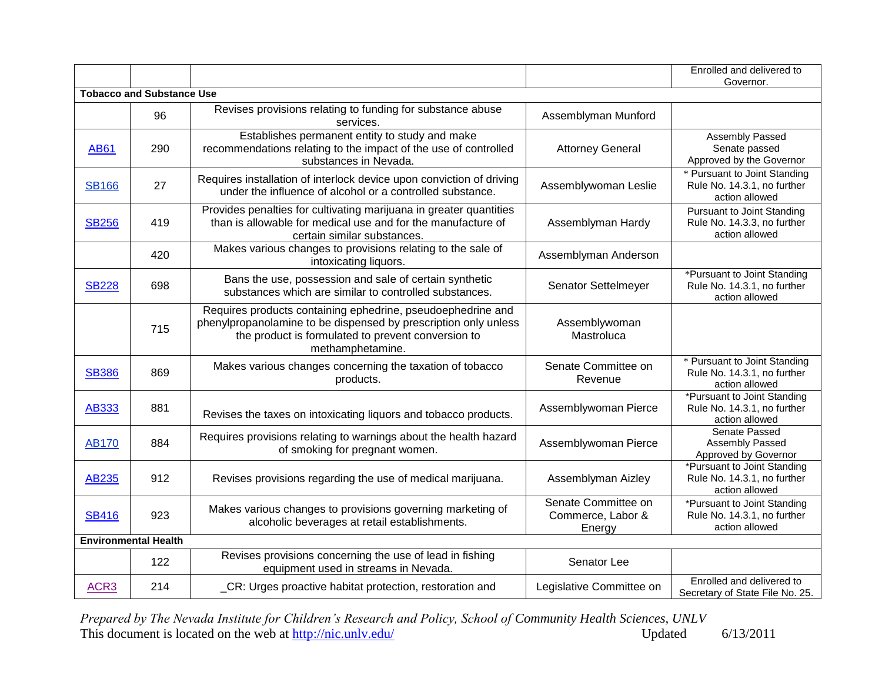|                  |                                  |                                                                                                                                                                                                          |                                                    | Enrolled and delivered to<br>Governor.                                             |
|------------------|----------------------------------|----------------------------------------------------------------------------------------------------------------------------------------------------------------------------------------------------------|----------------------------------------------------|------------------------------------------------------------------------------------|
|                  | <b>Tobacco and Substance Use</b> |                                                                                                                                                                                                          |                                                    |                                                                                    |
|                  | 96                               | Revises provisions relating to funding for substance abuse<br>services.                                                                                                                                  | Assemblyman Munford                                |                                                                                    |
| <b>AB61</b>      | 290                              | Establishes permanent entity to study and make<br>recommendations relating to the impact of the use of controlled<br>substances in Nevada.                                                               | <b>Attorney General</b>                            | Assembly Passed<br>Senate passed<br>Approved by the Governor                       |
| <b>SB166</b>     | 27                               | Requires installation of interlock device upon conviction of driving<br>under the influence of alcohol or a controlled substance.                                                                        | Assemblywoman Leslie                               | * Pursuant to Joint Standing<br>Rule No. 14.3.1, no further<br>action allowed      |
| <b>SB256</b>     | 419                              | Provides penalties for cultivating marijuana in greater quantities<br>than is allowable for medical use and for the manufacture of<br>certain similar substances.                                        | Assemblyman Hardy                                  | <b>Pursuant to Joint Standing</b><br>Rule No. 14.3.3, no further<br>action allowed |
|                  | 420                              | Makes various changes to provisions relating to the sale of<br>intoxicating liquors.                                                                                                                     | Assemblyman Anderson                               |                                                                                    |
| <b>SB228</b>     | 698                              | Bans the use, possession and sale of certain synthetic<br>substances which are similar to controlled substances.                                                                                         | Senator Settelmeyer                                | *Pursuant to Joint Standing<br>Rule No. 14.3.1, no further<br>action allowed       |
|                  | 715                              | Requires products containing ephedrine, pseudoephedrine and<br>phenylpropanolamine to be dispensed by prescription only unless<br>the product is formulated to prevent conversion to<br>methamphetamine. | Assemblywoman<br>Mastroluca                        |                                                                                    |
| <b>SB386</b>     | 869                              | Makes various changes concerning the taxation of tobacco<br>products.                                                                                                                                    | Senate Committee on<br>Revenue                     | * Pursuant to Joint Standing<br>Rule No. 14.3.1, no further<br>action allowed      |
| AB333            | 881                              | Revises the taxes on intoxicating liquors and tobacco products.                                                                                                                                          | Assemblywoman Pierce                               | *Pursuant to Joint Standing<br>Rule No. 14.3.1, no further<br>action allowed       |
| <b>AB170</b>     | 884                              | Requires provisions relating to warnings about the health hazard<br>of smoking for pregnant women.                                                                                                       | Assemblywoman Pierce                               | Senate Passed<br>Assembly Passed<br>Approved by Governor                           |
| AB235            | 912                              | Revises provisions regarding the use of medical marijuana.                                                                                                                                               | Assemblyman Aizley                                 | *Pursuant to Joint Standing<br>Rule No. 14.3.1, no further<br>action allowed       |
| <b>SB416</b>     | 923                              | Makes various changes to provisions governing marketing of<br>alcoholic beverages at retail establishments.                                                                                              | Senate Committee on<br>Commerce, Labor &<br>Energy | *Pursuant to Joint Standing<br>Rule No. 14.3.1, no further<br>action allowed       |
|                  | <b>Environmental Health</b>      |                                                                                                                                                                                                          |                                                    |                                                                                    |
|                  | 122                              | Revises provisions concerning the use of lead in fishing<br>equipment used in streams in Nevada.                                                                                                         | Senator Lee                                        |                                                                                    |
| ACR <sub>3</sub> | 214                              | _CR: Urges proactive habitat protection, restoration and                                                                                                                                                 | Legislative Committee on                           | Enrolled and delivered to<br>Secretary of State File No. 25.                       |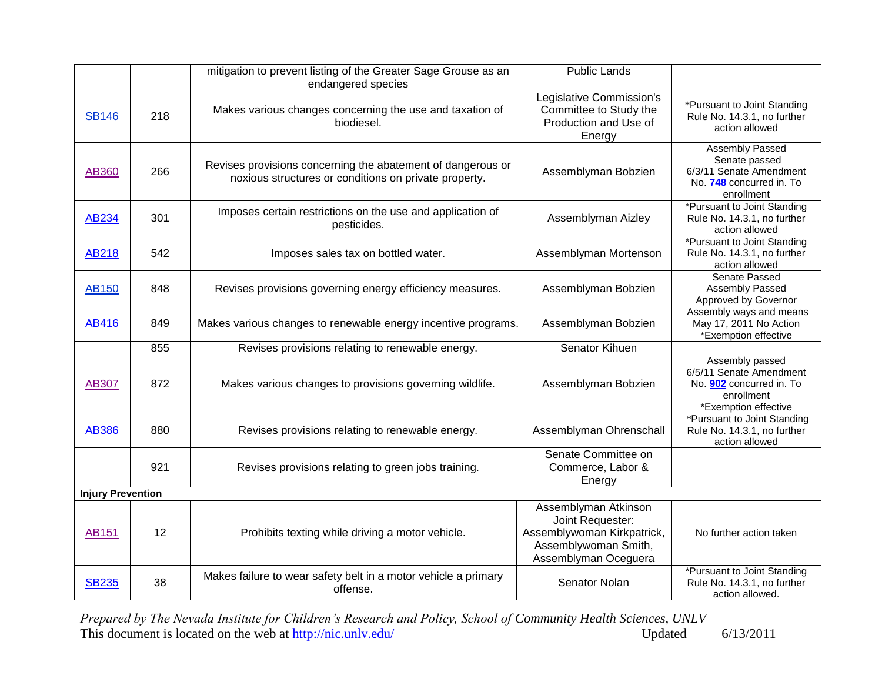|                          |     | mitigation to prevent listing of the Greater Sage Grouse as an<br>endangered species                                 | <b>Public Lands</b>                                                                                                    |                                                                                                              |
|--------------------------|-----|----------------------------------------------------------------------------------------------------------------------|------------------------------------------------------------------------------------------------------------------------|--------------------------------------------------------------------------------------------------------------|
| <b>SB146</b>             | 218 | Makes various changes concerning the use and taxation of<br>biodiesel.                                               | Legislative Commission's<br>Committee to Study the<br>Production and Use of<br>Energy                                  | *Pursuant to Joint Standing<br>Rule No. 14.3.1, no further<br>action allowed                                 |
| AB360                    | 266 | Revises provisions concerning the abatement of dangerous or<br>noxious structures or conditions on private property. | Assemblyman Bobzien                                                                                                    | <b>Assembly Passed</b><br>Senate passed<br>6/3/11 Senate Amendment<br>No. 748 concurred in. To<br>enrollment |
| <b>AB234</b>             | 301 | Imposes certain restrictions on the use and application of<br>pesticides.                                            | Assemblyman Aizley                                                                                                     | *Pursuant to Joint Standing<br>Rule No. 14.3.1, no further<br>action allowed                                 |
| <b>AB218</b>             | 542 | Imposes sales tax on bottled water.                                                                                  | Assemblyman Mortenson                                                                                                  | *Pursuant to Joint Standing<br>Rule No. 14.3.1, no further<br>action allowed                                 |
| AB150                    | 848 | Revises provisions governing energy efficiency measures.                                                             | Assemblyman Bobzien                                                                                                    | Senate Passed<br>Assembly Passed<br>Approved by Governor                                                     |
| <b>AB416</b>             | 849 | Makes various changes to renewable energy incentive programs.                                                        | Assemblyman Bobzien                                                                                                    | Assembly ways and means<br>May 17, 2011 No Action<br>*Exemption effective                                    |
|                          | 855 | Revises provisions relating to renewable energy.                                                                     | Senator Kihuen                                                                                                         |                                                                                                              |
| AB307                    | 872 | Makes various changes to provisions governing wildlife.                                                              | Assemblyman Bobzien                                                                                                    | Assembly passed<br>6/5/11 Senate Amendment<br>No. 902 concurred in. To<br>enrollment<br>*Exemption effective |
| <b>AB386</b>             | 880 | Revises provisions relating to renewable energy.                                                                     | Assemblyman Ohrenschall                                                                                                | *Pursuant to Joint Standing<br>Rule No. 14.3.1, no further<br>action allowed                                 |
|                          | 921 | Revises provisions relating to green jobs training.                                                                  | Senate Committee on<br>Commerce, Labor &<br>Energy                                                                     |                                                                                                              |
| <b>Injury Prevention</b> |     |                                                                                                                      |                                                                                                                        |                                                                                                              |
| <b>AB151</b>             | 12  | Prohibits texting while driving a motor vehicle.                                                                     | Assemblyman Atkinson<br>Joint Requester:<br>Assemblywoman Kirkpatrick,<br>Assemblywoman Smith,<br>Assemblyman Oceguera | No further action taken                                                                                      |
| <b>SB235</b>             | 38  | Makes failure to wear safety belt in a motor vehicle a primary<br>offense.                                           | Senator Nolan                                                                                                          | *Pursuant to Joint Standing<br>Rule No. 14.3.1, no further<br>action allowed.                                |

*Prepared by The Nevada Institute for Children's Research and Policy, School of Community Health Sciences, UNLV* This document is located on the web at  $\frac{http://nic.unlv.edu/}{http://nic.unlv.edu/}$  Updated 6/13/2011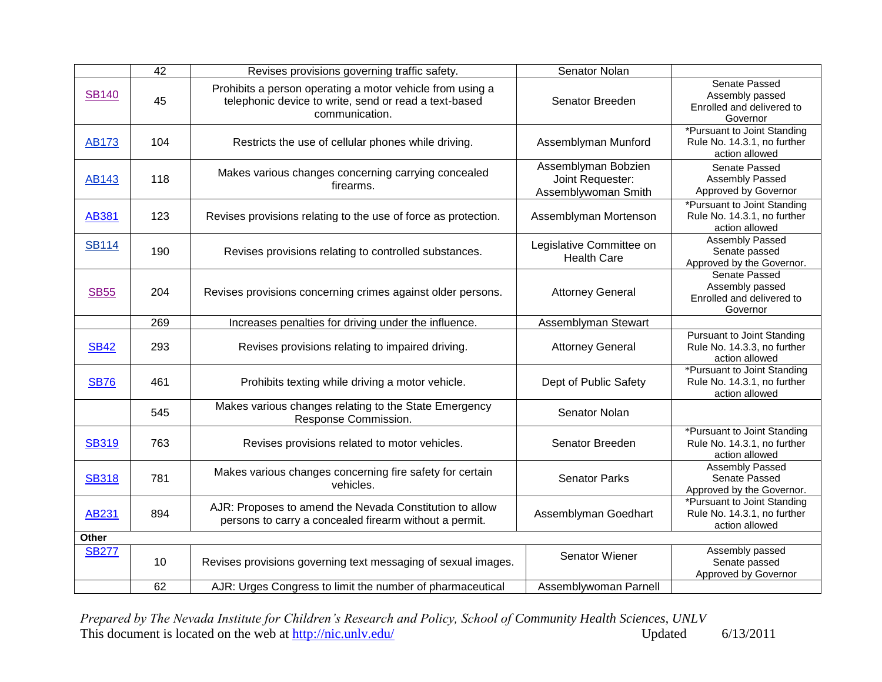|              | 42  | Revises provisions governing traffic safety.                                                                                         | Senator Nolan                                                  |                                                                                    |
|--------------|-----|--------------------------------------------------------------------------------------------------------------------------------------|----------------------------------------------------------------|------------------------------------------------------------------------------------|
| <b>SB140</b> | 45  | Prohibits a person operating a motor vehicle from using a<br>telephonic device to write, send or read a text-based<br>communication. | Senator Breeden                                                | Senate Passed<br>Assembly passed<br>Enrolled and delivered to<br>Governor          |
| <b>AB173</b> | 104 | Restricts the use of cellular phones while driving.                                                                                  | Assemblyman Munford                                            | *Pursuant to Joint Standing<br>Rule No. 14.3.1, no further<br>action allowed       |
| AB143        | 118 | Makes various changes concerning carrying concealed<br>firearms.                                                                     | Assemblyman Bobzien<br>Joint Requester:<br>Assemblywoman Smith | Senate Passed<br>Assembly Passed<br>Approved by Governor                           |
| <b>AB381</b> | 123 | Revises provisions relating to the use of force as protection.                                                                       | Assemblyman Mortenson                                          | *Pursuant to Joint Standing<br>Rule No. 14.3.1, no further<br>action allowed       |
| <b>SB114</b> | 190 | Revises provisions relating to controlled substances.                                                                                | Legislative Committee on<br><b>Health Care</b>                 | <b>Assembly Passed</b><br>Senate passed<br>Approved by the Governor.               |
| <b>SB55</b>  | 204 | Revises provisions concerning crimes against older persons.                                                                          | <b>Attorney General</b>                                        | Senate Passed<br>Assembly passed<br>Enrolled and delivered to<br>Governor          |
|              | 269 | Increases penalties for driving under the influence.                                                                                 | Assemblyman Stewart                                            |                                                                                    |
| <b>SB42</b>  | 293 | Revises provisions relating to impaired driving.                                                                                     | <b>Attorney General</b>                                        | <b>Pursuant to Joint Standing</b><br>Rule No. 14.3.3, no further<br>action allowed |
| <b>SB76</b>  | 461 | Prohibits texting while driving a motor vehicle.                                                                                     | Dept of Public Safety                                          | *Pursuant to Joint Standing<br>Rule No. 14.3.1, no further<br>action allowed       |
|              | 545 | Makes various changes relating to the State Emergency<br>Response Commission.                                                        | Senator Nolan                                                  |                                                                                    |
| <b>SB319</b> | 763 | Revises provisions related to motor vehicles.                                                                                        | Senator Breeden                                                | *Pursuant to Joint Standing<br>Rule No. 14.3.1, no further<br>action allowed       |
| <b>SB318</b> | 781 | Makes various changes concerning fire safety for certain<br>vehicles.                                                                | <b>Senator Parks</b>                                           | Assembly Passed<br>Senate Passed<br>Approved by the Governor.                      |
| AB231        | 894 | AJR: Proposes to amend the Nevada Constitution to allow<br>persons to carry a concealed firearm without a permit.                    | Assemblyman Goedhart                                           | *Pursuant to Joint Standing<br>Rule No. 14.3.1, no further<br>action allowed       |
| Other        |     |                                                                                                                                      |                                                                |                                                                                    |
| <b>SB277</b> | 10  | Revises provisions governing text messaging of sexual images.                                                                        | Senator Wiener                                                 | Assembly passed<br>Senate passed<br>Approved by Governor                           |
|              | 62  | AJR: Urges Congress to limit the number of pharmaceutical                                                                            | Assemblywoman Parnell                                          |                                                                                    |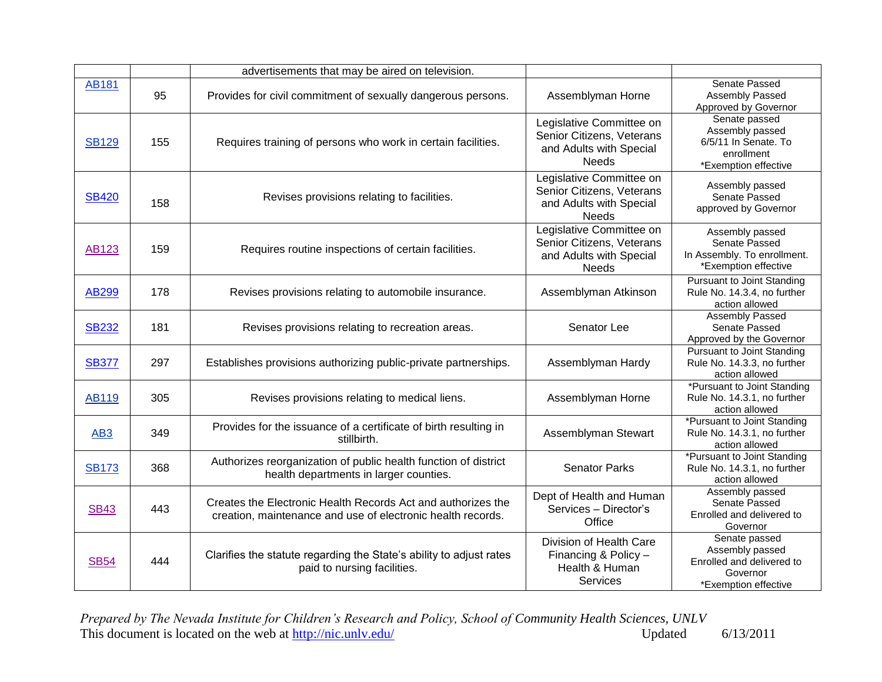|                 |     | advertisements that may be aired on television.                                                                             |                                                                                                  |                                                                                                   |
|-----------------|-----|-----------------------------------------------------------------------------------------------------------------------------|--------------------------------------------------------------------------------------------------|---------------------------------------------------------------------------------------------------|
| <b>AB181</b>    | 95  | Provides for civil commitment of sexually dangerous persons.                                                                | Assemblyman Horne                                                                                | Senate Passed<br>Assembly Passed<br>Approved by Governor                                          |
| <b>SB129</b>    | 155 | Requires training of persons who work in certain facilities.                                                                | Legislative Committee on<br>Senior Citizens, Veterans<br>and Adults with Special<br><b>Needs</b> | Senate passed<br>Assembly passed<br>6/5/11 In Senate. To<br>enrollment<br>*Exemption effective    |
| <b>SB420</b>    | 158 | Revises provisions relating to facilities.                                                                                  | Legislative Committee on<br>Senior Citizens, Veterans<br>and Adults with Special<br><b>Needs</b> | Assembly passed<br>Senate Passed<br>approved by Governor                                          |
| <b>AB123</b>    | 159 | Requires routine inspections of certain facilities.                                                                         | Legislative Committee on<br>Senior Citizens, Veterans<br>and Adults with Special<br><b>Needs</b> | Assembly passed<br>Senate Passed<br>In Assembly. To enrollment.<br>*Exemption effective           |
| AB299           | 178 | Revises provisions relating to automobile insurance.                                                                        | Assemblyman Atkinson                                                                             | <b>Pursuant to Joint Standing</b><br>Rule No. 14.3.4, no further<br>action allowed                |
| <b>SB232</b>    | 181 | Revises provisions relating to recreation areas.                                                                            | Senator Lee                                                                                      | Assembly Passed<br>Senate Passed<br>Approved by the Governor                                      |
| <b>SB377</b>    | 297 | Establishes provisions authorizing public-private partnerships.                                                             | Assemblyman Hardy                                                                                | <b>Pursuant to Joint Standing</b><br>Rule No. 14.3.3, no further<br>action allowed                |
| <b>AB119</b>    | 305 | Revises provisions relating to medical liens.                                                                               | Assemblyman Horne                                                                                | *Pursuant to Joint Standing<br>Rule No. 14.3.1, no further<br>action allowed                      |
| AB <sub>3</sub> | 349 | Provides for the issuance of a certificate of birth resulting in<br>stillbirth.                                             | Assemblyman Stewart                                                                              | *Pursuant to Joint Standing<br>Rule No. 14.3.1, no further<br>action allowed                      |
| <b>SB173</b>    | 368 | Authorizes reorganization of public health function of district<br>health departments in larger counties.                   | <b>Senator Parks</b>                                                                             | *Pursuant to Joint Standing<br>Rule No. 14.3.1, no further<br>action allowed                      |
| <b>SB43</b>     | 443 | Creates the Electronic Health Records Act and authorizes the<br>creation, maintenance and use of electronic health records. | Dept of Health and Human<br>Services - Director's<br>Office                                      | Assembly passed<br>Senate Passed<br>Enrolled and delivered to<br>Governor                         |
| <b>SB54</b>     | 444 | Clarifies the statute regarding the State's ability to adjust rates<br>paid to nursing facilities.                          | Division of Health Care<br>Financing & Policy -<br>Health & Human<br>Services                    | Senate passed<br>Assembly passed<br>Enrolled and delivered to<br>Governor<br>*Exemption effective |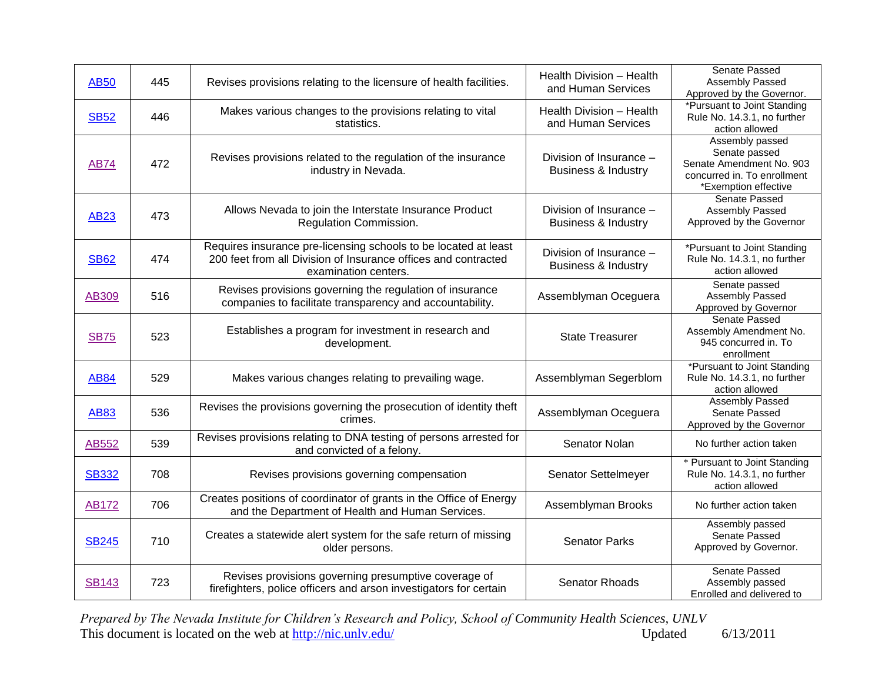| <b>AB50</b>  | 445 | Revises provisions relating to the licensure of health facilities.                                                                                        | Health Division - Health<br>and Human Services            | Senate Passed<br>Assembly Passed<br>Approved by the Governor.                                                       |
|--------------|-----|-----------------------------------------------------------------------------------------------------------------------------------------------------------|-----------------------------------------------------------|---------------------------------------------------------------------------------------------------------------------|
| <b>SB52</b>  | 446 | Makes various changes to the provisions relating to vital<br>statistics.                                                                                  | Health Division - Health<br>and Human Services            | *Pursuant to Joint Standing<br>Rule No. 14.3.1, no further<br>action allowed                                        |
| <b>AB74</b>  | 472 | Revises provisions related to the regulation of the insurance<br>industry in Nevada.                                                                      | Division of Insurance -<br><b>Business &amp; Industry</b> | Assembly passed<br>Senate passed<br>Senate Amendment No. 903<br>concurred in. To enrollment<br>*Exemption effective |
| <b>AB23</b>  | 473 | Allows Nevada to join the Interstate Insurance Product<br>Regulation Commission.                                                                          | Division of Insurance -<br><b>Business &amp; Industry</b> | Senate Passed<br>Assembly Passed<br>Approved by the Governor                                                        |
| <b>SB62</b>  | 474 | Requires insurance pre-licensing schools to be located at least<br>200 feet from all Division of Insurance offices and contracted<br>examination centers. | Division of Insurance -<br><b>Business &amp; Industry</b> | *Pursuant to Joint Standing<br>Rule No. 14.3.1, no further<br>action allowed                                        |
| <b>AB309</b> | 516 | Revises provisions governing the regulation of insurance<br>companies to facilitate transparency and accountability.                                      | Assemblyman Oceguera                                      | Senate passed<br>Assembly Passed<br>Approved by Governor                                                            |
| <b>SB75</b>  | 523 | Establishes a program for investment in research and<br>development.                                                                                      | <b>State Treasurer</b>                                    | Senate Passed<br>Assembly Amendment No.<br>945 concurred in. To<br>enrollment                                       |
| <b>AB84</b>  | 529 | Makes various changes relating to prevailing wage.                                                                                                        | Assemblyman Segerblom                                     | *Pursuant to Joint Standing<br>Rule No. 14.3.1, no further<br>action allowed                                        |
| <b>AB83</b>  | 536 | Revises the provisions governing the prosecution of identity theft<br>crimes.                                                                             | Assemblyman Oceguera                                      | Assembly Passed<br>Senate Passed<br>Approved by the Governor                                                        |
| AB552        | 539 | Revises provisions relating to DNA testing of persons arrested for<br>and convicted of a felony.                                                          | Senator Nolan                                             | No further action taken                                                                                             |
| <b>SB332</b> | 708 | Revises provisions governing compensation                                                                                                                 | Senator Settelmeyer                                       | * Pursuant to Joint Standing<br>Rule No. 14.3.1, no further<br>action allowed                                       |
| <b>AB172</b> | 706 | Creates positions of coordinator of grants in the Office of Energy<br>and the Department of Health and Human Services.                                    | Assemblyman Brooks                                        | No further action taken                                                                                             |
| <b>SB245</b> | 710 | Creates a statewide alert system for the safe return of missing<br>older persons.                                                                         | <b>Senator Parks</b>                                      | Assembly passed<br>Senate Passed<br>Approved by Governor.                                                           |
| <b>SB143</b> | 723 | Revises provisions governing presumptive coverage of<br>firefighters, police officers and arson investigators for certain                                 | Senator Rhoads                                            | Senate Passed<br>Assembly passed<br>Enrolled and delivered to                                                       |